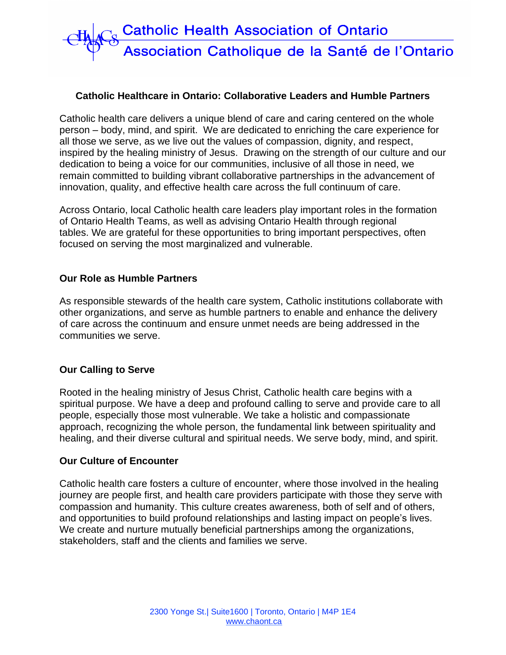

### **Catholic Healthcare in Ontario: Collaborative Leaders and Humble Partners**

Catholic health care delivers a unique blend of care and caring centered on the whole person – body, mind, and spirit. We are dedicated to enriching the care experience for all those we serve, as we live out the values of compassion, dignity, and respect, inspired by the healing ministry of Jesus. Drawing on the strength of our culture and our dedication to being a voice for our communities, inclusive of all those in need, we remain committed to building vibrant collaborative partnerships in the advancement of innovation, quality, and effective health care across the full continuum of care.

Across Ontario, local Catholic health care leaders play important roles in the formation of Ontario Health Teams, as well as advising Ontario Health through regional tables. We are grateful for these opportunities to bring important perspectives, often focused on serving the most marginalized and vulnerable.

#### **Our Role as Humble Partners**

As responsible stewards of the health care system, Catholic institutions collaborate with other organizations, and serve as humble partners to enable and enhance the delivery of care across the continuum and ensure unmet needs are being addressed in the communities we serve.

# **Our Calling to Serve**

Rooted in the healing ministry of Jesus Christ, Catholic health care begins with a spiritual purpose. We have a deep and profound calling to serve and provide care to all people, especially those most vulnerable. We take a holistic and compassionate approach, recognizing the whole person, the fundamental link between spirituality and healing, and their diverse cultural and spiritual needs. We serve body, mind, and spirit.

#### **Our Culture of Encounter**

Catholic health care fosters a culture of encounter, where those involved in the healing journey are people first, and health care providers participate with those they serve with compassion and humanity. This culture creates awareness, both of self and of others, and opportunities to build profound relationships and lasting impact on people's lives. We create and nurture mutually beneficial partnerships among the organizations, stakeholders, staff and the clients and families we serve.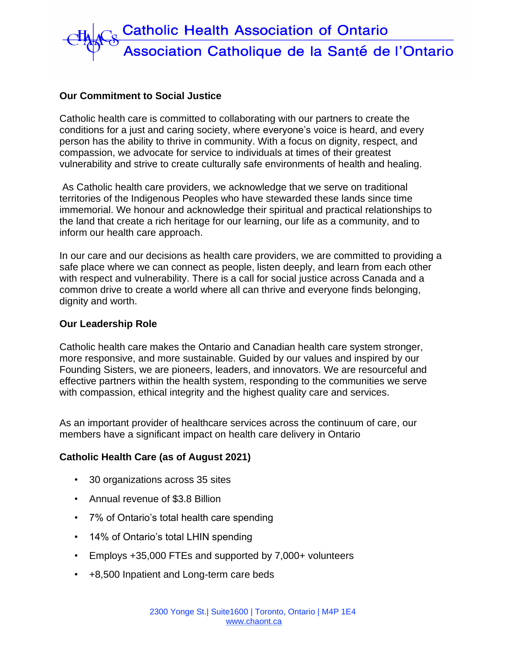

# **Our Commitment to Social Justice**

Catholic health care is committed to collaborating with our partners to create the conditions for a just and caring society, where everyone's voice is heard, and every person has the ability to thrive in community. With a focus on dignity, respect, and compassion, we advocate for service to individuals at times of their greatest vulnerability and strive to create culturally safe environments of health and healing.

As Catholic health care providers, we acknowledge that we serve on traditional territories of the Indigenous Peoples who have stewarded these lands since time immemorial. We honour and acknowledge their spiritual and practical relationships to the land that create a rich heritage for our learning, our life as a community, and to inform our health care approach.

In our care and our decisions as health care providers, we are committed to providing a safe place where we can connect as people, listen deeply, and learn from each other with respect and vulnerability. There is a call for social justice across Canada and a common drive to create a world where all can thrive and everyone finds belonging, dignity and worth.

# **Our Leadership Role**

Catholic health care makes the Ontario and Canadian health care system stronger, more responsive, and more sustainable. Guided by our values and inspired by our Founding Sisters, we are pioneers, leaders, and innovators. We are resourceful and effective partners within the health system, responding to the communities we serve with compassion, ethical integrity and the highest quality care and services.

As an important provider of healthcare services across the continuum of care, our members have a significant impact on health care delivery in Ontario

# **Catholic Health Care (as of August 2021)**

- 30 organizations across 35 sites
- Annual revenue of \$3.8 Billion
- 7% of Ontario's total health care spending
- 14% of Ontario's total LHIN spending
- Employs +35,000 FTEs and supported by 7,000+ volunteers
- +8,500 Inpatient and Long-term care beds